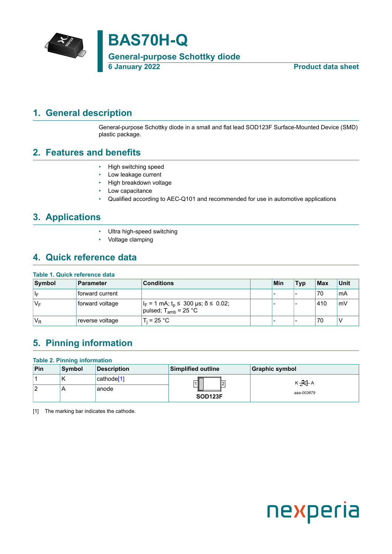

## <span id="page-0-1"></span>**1. General description**

<span id="page-0-0"></span>General-purpose Schottky diode in a small and flat lead SOD123F Surface-Mounted Device (SMD) plastic package.

## <span id="page-0-2"></span>**2. Features and benefits**

- High switching speed
- Low leakage current
- High breakdown voltage
- Low capacitance
- Qualified according to AEC-Q101 and recommended for use in automotive applications

## <span id="page-0-3"></span>**3. Applications**

- Ultra high-speed switching
- Voltage clamping

## <span id="page-0-4"></span>**4. Quick reference data**

### **Table 1. Quick reference data**

| Symbol | <b>Parameter</b> | <b>Conditions</b>                                                                 | Min | <b>Typ</b>               | $ $ Max | <b>Unit</b> |
|--------|------------------|-----------------------------------------------------------------------------------|-----|--------------------------|---------|-------------|
| ∣∣⊧    | forward current  |                                                                                   | -   | $\overline{\phantom{a}}$ | 70      | ˈmA         |
| 'V⊧    | forward voltage  | $ I_F = 1$ mA; $t_p \le 300$ µs; $\delta \le 0.02$ ;<br>pulsed; $T_{amb}$ = 25 °C |     |                          | 410     | mV          |
| $V_R$  | reverse voltage  | $T_i = 25 °C$                                                                     | -   | $\overline{\phantom{a}}$ | 70      | ν           |

## <span id="page-0-5"></span>**5. Pinning information**

#### **Table 2. Pinning information**

| Pin | <b>Symbol</b> | <b>Description</b>     | <b>Simplified outline</b> | <b>Graphic symbol</b> |
|-----|---------------|------------------------|---------------------------|-----------------------|
|     | ''            | cathode <sup>[1]</sup> | 12                        | К $\overline{R}$ А    |
| 2   | Ħ             | anode                  | SOD <sub>123F</sub>       | aaa-003679            |

[1] The marking bar indicates the cathode.

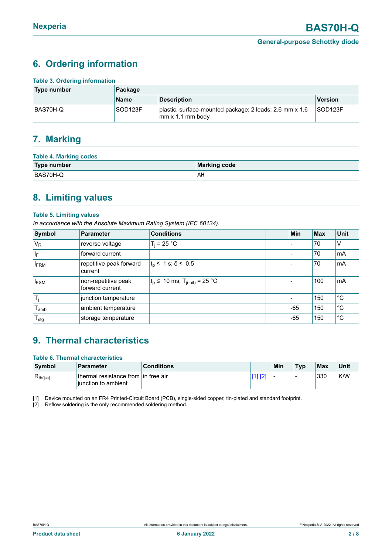## <span id="page-1-1"></span><span id="page-1-0"></span>**6. Ordering information**

| <b>Table 3. Ordering information</b> |             |                                                                             |                     |  |  |  |
|--------------------------------------|-------------|-----------------------------------------------------------------------------|---------------------|--|--|--|
| Type number                          | Package     |                                                                             |                     |  |  |  |
|                                      | <b>Name</b> | <b>Description</b>                                                          | <b>Version</b>      |  |  |  |
| BAS70H-Q                             | SOD123F     | plastic, surface-mounted package; 2 leads; 2.6 mm x 1.6<br>mm x 1.1 mm body | SOD <sub>123F</sub> |  |  |  |

## <span id="page-1-2"></span>**7. Marking**

| <b>Table 4. Marking codes</b> |              |  |  |  |  |
|-------------------------------|--------------|--|--|--|--|
| Type number                   | Marking code |  |  |  |  |
| BAS70H-Q                      | AH           |  |  |  |  |

## <span id="page-1-3"></span>**8. Limiting values**

### **Table 5. Limiting values**

*In accordance with the Absolute Maximum Rating System (IEC 60134).*

| Symbol                  | Parameter                              | <b>Conditions</b>                           | Min   | <b>Max</b> | <b>Unit</b> |
|-------------------------|----------------------------------------|---------------------------------------------|-------|------------|-------------|
| $V_R$                   | reverse voltage                        | $T_i = 25 °C$                               |       | 70         | V           |
| $\mathsf{I}_\mathsf{F}$ | forward current                        |                                             |       | 70         | mA          |
| <b>IFRM</b>             | repetitive peak forward<br>current     | $t_0 \leq 1$ s; $\delta \leq 0.5$           |       | 70         | mA          |
| $I_{FSM}$               | non-repetitive peak<br>forward current | $t_p$ ≤ 10 ms; T <sub>j(init)</sub> = 25 °C |       | 100        | mA          |
| $\mathsf{T}_\mathsf{i}$ | junction temperature                   |                                             |       | 150        | °С          |
| l <sub>amb</sub>        | ambient temperature                    |                                             | -65   | 150        | $^{\circ}C$ |
| $T_{\text{stg}}$        | storage temperature                    |                                             | $-65$ | 150        | $^{\circ}C$ |

## <span id="page-1-4"></span>**9. Thermal characteristics**

| <b>Table 6. Thermal characteristics</b> |                                                            |                   |         |     |            |     |      |
|-----------------------------------------|------------------------------------------------------------|-------------------|---------|-----|------------|-----|------|
| Symbol                                  | <b>Parameter</b>                                           | <b>Conditions</b> |         | Min | <b>Typ</b> | Max | Unit |
| $R_{th(j-a)}$                           | thermal resistance from in free air<br>iunction to ambient |                   | [1] [2] | -   | -          | 330 | K/W  |

[1] Device mounted on an FR4 Printed-Circuit Board (PCB), single-sided copper, tin-plated and standard footprint.

[2] Reflow soldering is the only recommended soldering method.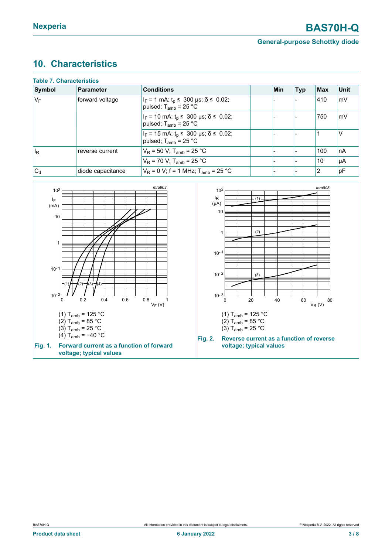**General-purpose Schottky diode**

# <span id="page-2-0"></span>**10. Characteristics**

| <b>Table 7. Characteristics</b> |                   |                                                                                       |  |     |            |     |             |  |
|---------------------------------|-------------------|---------------------------------------------------------------------------------------|--|-----|------------|-----|-------------|--|
| Symbol                          | Parameter         | <b>Conditions</b>                                                                     |  | Min | <b>Typ</b> | Max | <b>Unit</b> |  |
| $ V_F $                         | forward voltage   | $ I_F = 1$ mA; $t_p \le 300$ µs; $\delta \le 0.02$ ;<br>pulsed; $T_{amb}$ = 25 °C     |  |     |            | 410 | mV          |  |
|                                 |                   | $I_F$ = 10 mA; t <sub>p</sub> ≤ 300 µs; $\delta$ ≤ 0.02;<br>pulsed; $T_{amb}$ = 25 °C |  |     |            | 750 | mV          |  |
|                                 |                   | $I_F = 15$ mA; $t_p \le 300$ µs; $\delta \le 0.02$ ;<br>pulsed; $T_{amb}$ = 25 °C     |  |     |            |     | $\vee$      |  |
| $ I_{\mathsf{R}}$               | reverse current   | $V_R$ = 50 V; T <sub>amb</sub> = 25 °C                                                |  |     |            | 100 | l nA        |  |
|                                 |                   | $V_R$ = 70 V; T <sub>amb</sub> = 25 °C                                                |  |     |            | 10  | l µA        |  |
| $ C_{d}$                        | diode capacitance | $V_R$ = 0 V; f = 1 MHz; T <sub>amb</sub> = 25 °C                                      |  |     |            | 12  | pF          |  |

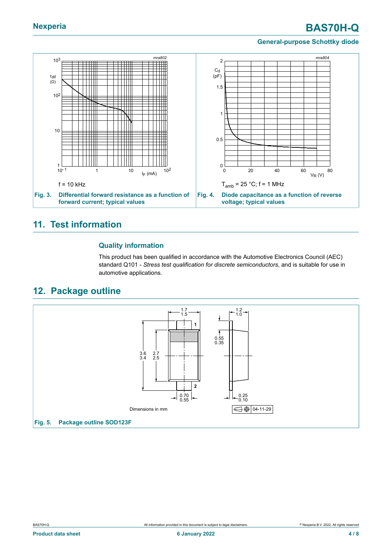# **Nexperia BAS70H-Q**

#### **General-purpose Schottky diode**



### <span id="page-3-0"></span>**11. Test information**

#### **Quality information**

This product has been qualified in accordance with the Automotive Electronics Council (AEC) standard Q101 - *Stress test qualification for discrete semiconductors*, and is suitable for use in automotive applications.

## <span id="page-3-1"></span>**12. Package outline**

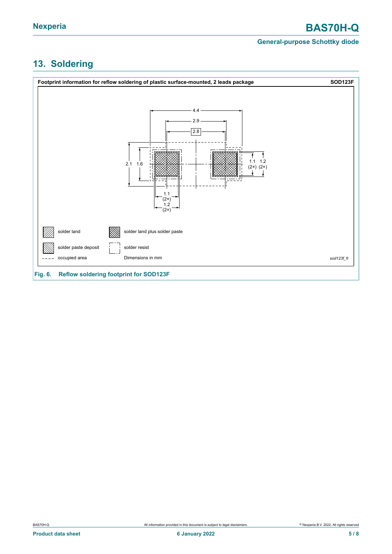### **General-purpose Schottky diode**

# <span id="page-4-0"></span>**13. Soldering**

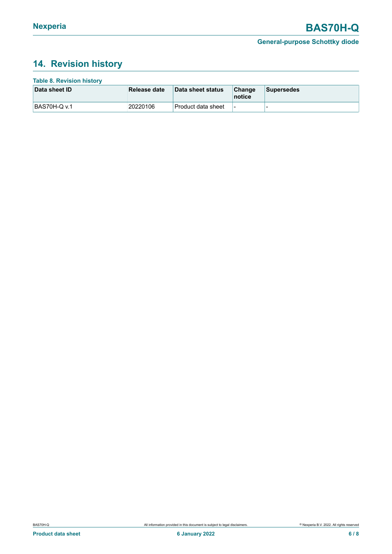## <span id="page-5-0"></span>**14. Revision history**

| <b>Table 8. Revision history</b> |              |                      |                          |                   |
|----------------------------------|--------------|----------------------|--------------------------|-------------------|
| Data sheet ID                    | Release date | Data sheet status    | Change<br>notice         | <b>Supersedes</b> |
| <b>BAS70H-Q v.1</b>              | 20220106     | ∣Product data sheet_ | $\overline{\phantom{a}}$ | -                 |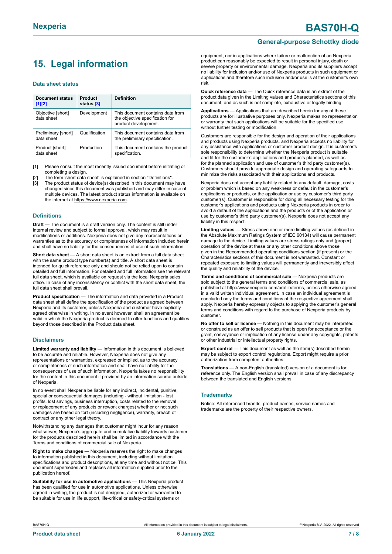# <span id="page-6-0"></span>**15. Legal information**

#### **Data sheet status**

| Document status<br>$[1]$ [2]      | Product<br>status [3] | <b>Definition</b>                                                                           |
|-----------------------------------|-----------------------|---------------------------------------------------------------------------------------------|
| Objective [short]<br>data sheet   | Development           | This document contains data from<br>the objective specification for<br>product development. |
| Preliminary [short]<br>data sheet | Qualification         | This document contains data from<br>the preliminary specification.                          |
| Product [short]<br>data sheet     | Production            | This document contains the product<br>specification.                                        |

[1] Please consult the most recently issued document before initiating or completing a design.

- The term 'short data sheet' is explained in section "Definitions"
- [3] The product status of device(s) described in this document may have changed since this document was published and may differ in case of multiple devices. The latest product status information is available on the internet at [https://www.nexperia.com.](https://www.nexperia.com)

#### **Definitions**

**Draft** — The document is a draft version only. The content is still under internal review and subject to formal approval, which may result in modifications or additions. Nexperia does not give any representations or warranties as to the accuracy or completeness of information included herein and shall have no liability for the consequences of use of such information.

**Short data sheet** — A short data sheet is an extract from a full data sheet with the same product type number(s) and title. A short data sheet is intended for quick reference only and should not be relied upon to contain detailed and full information. For detailed and full information see the relevant full data sheet, which is available on request via the local Nexperia sales office. In case of any inconsistency or conflict with the short data sheet, the full data sheet shall prevail.

**Product specification** — The information and data provided in a Product data sheet shall define the specification of the product as agreed between Nexperia and its customer, unless Nexperia and customer have explicitly agreed otherwise in writing. In no event however, shall an agreement be valid in which the Nexperia product is deemed to offer functions and qualities beyond those described in the Product data sheet.

#### **Disclaimers**

**Limited warranty and liability** — Information in this document is believed to be accurate and reliable. However, Nexperia does not give any representations or warranties, expressed or implied, as to the accuracy or completeness of such information and shall have no liability for the consequences of use of such information. Nexperia takes no responsibility for the content in this document if provided by an information source outside of Nexperia.

In no event shall Nexperia be liable for any indirect, incidental, punitive, special or consequential damages (including - without limitation - lost profits, lost savings, business interruption, costs related to the removal or replacement of any products or rework charges) whether or not such damages are based on tort (including negligence), warranty, breach of contract or any other legal theory.

Notwithstanding any damages that customer might incur for any reason whatsoever, Nexperia's aggregate and cumulative liability towards customer for the products described herein shall be limited in accordance with the Terms and conditions of commercial sale of Nexperia.

**Right to make changes** — Nexperia reserves the right to make changes to information published in this document, including without limitation specifications and product descriptions, at any time and without notice. This document supersedes and replaces all information supplied prior to the publication hereof

**Suitability for use in automotive applications** — This Nexperia product has been qualified for use in automotive applications. Unless otherwise agreed in writing, the product is not designed, authorized or warranted to be suitable for use in life support, life-critical or safety-critical systems or

# **General-purpose Schottky diode**

equipment, nor in applications where failure or malfunction of an Nexperia product can reasonably be expected to result in personal injury, death or severe property or environmental damage. Nexperia and its suppliers accept no liability for inclusion and/or use of Nexperia products in such equipment or applications and therefore such inclusion and/or use is at the customer's own risk.

**Quick reference data** — The Quick reference data is an extract of the product data given in the Limiting values and Characteristics sections of this document, and as such is not complete, exhaustive or legally binding.

**Applications** — Applications that are described herein for any of these products are for illustrative purposes only. Nexperia makes no representation or warranty that such applications will be suitable for the specified use without further testing or modification.

Customers are responsible for the design and operation of their applications and products using Nexperia products, and Nexperia accepts no liability for any assistance with applications or customer product design. It is customer's sole responsibility to determine whether the Nexperia product is suitable and fit for the customer's applications and products planned, as well as for the planned application and use of customer's third party customer(s). Customers should provide appropriate design and operating safeguards to minimize the risks associated with their applications and products.

Nexperia does not accept any liability related to any default, damage, costs or problem which is based on any weakness or default in the customer's applications or products, or the application or use by customer's third party customer(s). Customer is responsible for doing all necessary testing for the customer's applications and products using Nexperia products in order to avoid a default of the applications and the products or of the application or use by customer's third party customer(s). Nexperia does not accept any liability in this respect.

**Limiting values** — Stress above one or more limiting values (as defined in the Absolute Maximum Ratings System of IEC 60134) will cause permanent damage to the device. Limiting values are stress ratings only and (proper) operation of the device at these or any other conditions above those given in the Recommended operating conditions section (if present) or the Characteristics sections of this document is not warranted. Constant or repeated exposure to limiting values will permanently and irreversibly affect the quality and reliability of the device.

**Terms and conditions of commercial sale** — Nexperia products are sold subject to the general terms and conditions of commercial sale, as published at [http://www.nexperia.com/profile/terms,](http://www.nexperia.com/profile/terms) unless otherwise agreed in a valid written individual agreement. In case an individual agreement is concluded only the terms and conditions of the respective agreement shall apply. Nexperia hereby expressly objects to applying the customer's general terms and conditions with regard to the purchase of Nexperia products by customer.

**No offer to sell or license** — Nothing in this document may be interpreted or construed as an offer to sell products that is open for acceptance or the grant, conveyance or implication of any license under any copyrights, patents or other industrial or intellectual property rights.

**Export control** — This document as well as the item(s) described herein may be subject to export control regulations. Export might require a prior authorization from competent authorities.

**Translations** — A non-English (translated) version of a document is for reference only. The English version shall prevail in case of any discrepancy between the translated and English versions.

#### **Trademarks**

Notice: All referenced brands, product names, service names and trademarks are the property of their respective owners.